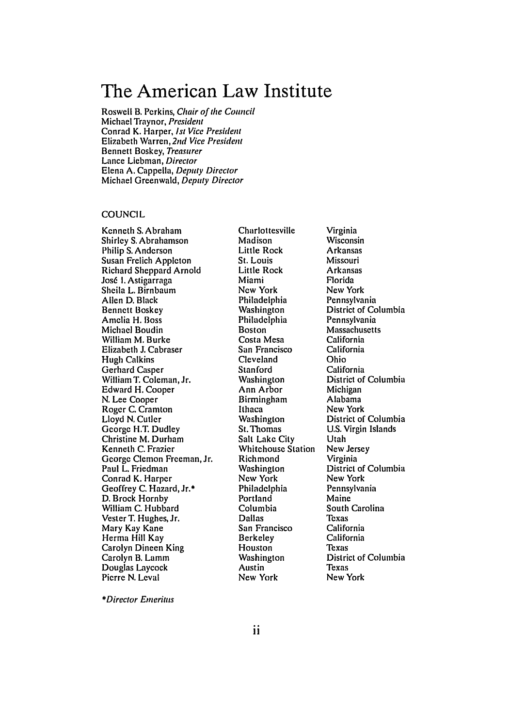# **The American Law Institute**

Roswell B. Perkins, Chair of *the Council* Michael Traynor, President Conrad K. Harper, *1st* Vice President Elizabeth Warren, **2nd** Vice President Bennett Boskey, Treasurer Lance Liebman, Director Elena A. Cappella, Deputy Director Michael Greenwald, Deputy Director

# **COUNCIL**

Kenneth S. Abraham Shirley S. Abrahamson Philip S. Anderson Susan Frclich Appleton Richard Sheppard Arnold José I. Astigarraga Sheila L. Birnbaum Allen D. Black Bennett Boskey Amelia H. Boss Michael Boudin William M. Burke Elizabeth **J.** Cabraser Hugh Calkins Gerhard Casper William T. Coleman, Jr. Edward H. Cooper N. Lee Cooper Roger C. Cramton Lloyd N. Cutler George H.T. Dudley Christine M. Durham Kenneth C. Frazier George Clemon Freeman, Jr. Paul L. Friedman Conrad K. Harper Geoffrey C. Hazard, Jr.\* D. Brock Hornby William C. Hubbard Vester T. Hughes, Jr. Mary Kay Kane Herma Hill Kay Carolyn Dineen King Carolyn B. Lamm Douglas Laycock Pierre N. Leval

Charlottesville Madison Little Rock St. Louis Little Rock Miami New York Philadelphia Washington Philadelphia Boston Costa Mesa San Francisco Cleveland Stanford Washington Ann Arbor Birmingham Ithaca Washington St. Thomas Salt Lake City Whitehouse Station Richmond Washington New York Philadelphia Portland Columbia Dallas San Francisco Berkeley Houston Washington Austin New York

Virginia Wisconsin Arkansas Missouri Arkansas Florida New York Pennsylvania District of Columbia Pennsylvania Massachusetts California California Ohio California District of Columbia Michigan Alabama New York District of Columbia U.S. Virgin Islands Utah New Jersey Virginia District of Columbia New York Pennsylvania Maine South Carolina Texas California California Texas District of Columbia Texas New York

*\*Director* Emeritus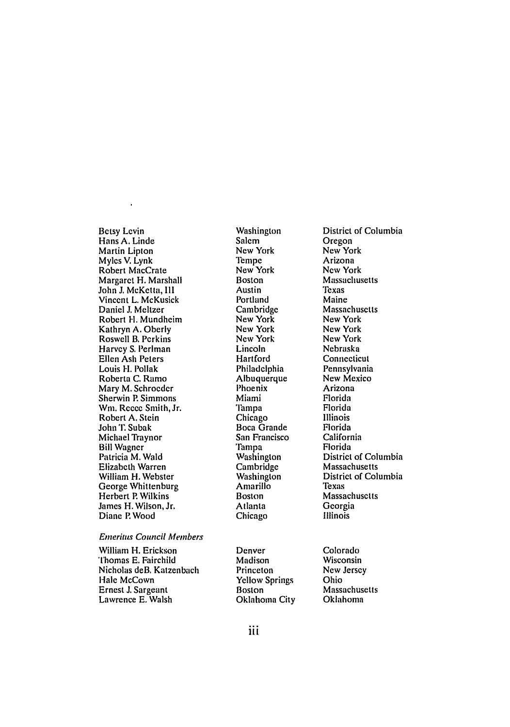Betsy Levin Hans A. Linde Martin Lipton Myles V. Lynk Robert MacCrate Margaret H. Marshall John J. McKetta, **III** Vincent L. McKusick Daniel **J.** Meltzer Robert H. Mundheim Kathryn A. Oberly Roswell B. Perkins Harvey S. Perlman Ellen Ash Peters Louis H. Pollak Roberta C. Ramo Mary M. Schroeder Sherwin P. Simmons Win. Reece Smith, Jr. Robert A. Stein John T. Subak Michael Traynor Bill Wagner Patricia M. Wald Elizabeth Warren William H. Webster George Whittenburg Herbert P. Wilkins James H. Wilson, Jr. Diane P. Wood

#### Emeritus Council *Members*

William H. Erickson Thomas E. Fairchild Nicholas deB, Katzenbach Hale McCown Ernest J. Sargeant Lawrence E. Walsh

Washington Salem New York Tempe New York Boston Austin Portland Cambridge New York New York New York Lincoln **Hartford** Philadelphia Albuquerque Phoenix Miami Tampa Chicago Boca Grande San Francisco Tampa Washington Cambridge Washington Amarillo Boston Atlanta Chicago

Denver Madison Princeton Yellow Springs Boston Oklahoma City

District of Columbia Oregon New York Arizona New York Massachusetts Texas Maine Massachusetts New York New York New York Nebraska Connecticut Pennsylvania New Mexico Arizona Florida Florida Illinois Florida California Florida District of Columbia Massachusetts District of Columbia Texas Massachusetts Georgia Illinois

Colorado Wisconsin New Jersey Ohio Massachusetts Oklahoma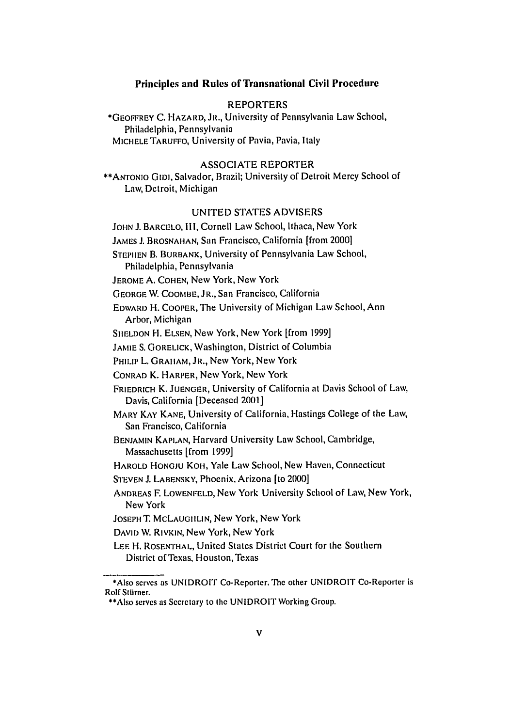# **Principles and Rules of Transnational Civil Procedure**

# REPORTERS

\*GEOFFREY **C.** HAZARD, JR., University of Pennsylvania Law School, Philadelphia, Pennsylvania MICHELE TARUFFO, University of Pavia, Pavia, Italy

#### ASSOCIATE REPORTER

\*\*ANTONIO **GIDI,** Salvador, Brazil; University of Detroit Mercy School of Law, Detroit, Michigan

# UNITED STATES ADVISERS

**JOHN** J. BARCELO, IIl, Cornell Law School, Ithaca, New York

JAMES **J.** BROSNAHAN, San Francisco, California [from 2000]

STEPHEN B. BURBANK, University of Pennsylvania Law School,

Philadelphia, Pennsylvania

JEROME A. COHEN, New York, New York

GEORGE W. COOMBE, JR., San Francisco, California

EDWARD H. COOPER, The University of Michigan Law School, Ann Arbor, Michigan

SHELDON H. ELSEN, New York, New York [from 1999]

**JAMIE** S. GORELICK, Washington, District of Columbia

PHILIP L. GRAHAM, JR., New York, New York

CONRAD K. HARPER, New York, New York

FRIEDRICH K. JUENGER, University of California at Davis School of Law, Davis, California [Deceased 2001]

MARY KAY KANE, University of California, Hastings College of the Law, San Francisco, California

BENJAMIN **KAPLAN,** Harvard University Law School, Cambridge, Massachusetts [from 1999]

HAROLD HONGJU KOH, Yale Law School, New Haven, Connecticut

STEVEN J. LABENSKY, Phoenix, Arizona [to 2000]

- ANDREAS F. LOWENFELD, New York University School of Law, New York, New York
- JOSEPH T. MCLAUGIILIN, New York, New York
- DAVID W. RIVKIN, New York, New York

LEE H. ROSENTHAL, United States District Court for the Southern District of Texas, Houston,Texas

<sup>\*</sup>Also serves as UNIDROIr Co-Reporter. The other UNIDROIT Co-Reporter is Rolf Stürner.

<sup>\*\*</sup>Also serves as Secretary to the UNIDROIT Working Group.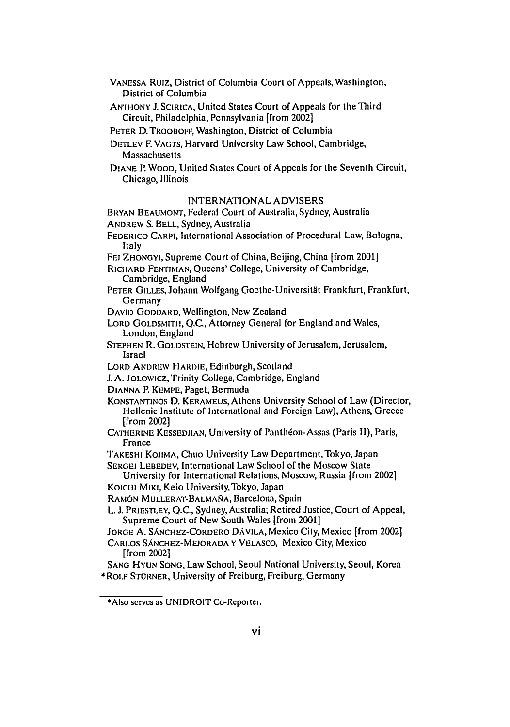- VANESSA Ruiz, District of Columbia Court of Appeals, Washington, District of Columbia
- ANTHONY **J. SCIRICA,** United States Court of Appeals for the Third Circuit, Philadelphia, Pennsylvania (from 2002]
- PETER D. TROOBOFF, Washington, District of Columbia
- **DETLEV** F. **VAGTS,** Harvard University Law School, Cambridge, Massachusetts
- **DIANE** P. **WOOD,** United States Court of Appeals for the Seventh Circuit, Chicago, Illinois

# INTERNATIONAL ADVISERS

BRYAN BEAUMONT, Federal Court of Australia, Sydney, Australia ANDREW S. BELL, Sydney, Australia

- FEDERICO CARPI, International Association of Procedural Law, Bologna, Italy
- FEI ZHONGYI, Supreme Court of China, Beijing, China [from 2001]

RICHARD FENTIMAN, Queens' College, University of Cambridge, Cambridge, England

- PETER GILLES, Johann Wolfgang Goethe-Universität Frankfurt, Frankfurt, Germany
- DAVID GODDARD, Wellington, New Zealand
- LORD GOLDSMITH, Q.C., Attorney General for England and Wales, London, England
- STEPHEN R. GOLDSTEIN, Hebrew University of Jerusalem, Jerusalem, Israel
- LORD ANDREW HARDIE, Edinburgh, Scotland
- J. A. JOLOwIcz, Trinity College, Cambridge, England

DIANNA P. KEMPE, Paget, Bermuda

- KONSTANTINOS D. KERAMEUS, Athens University School of Law (Director, Hellenic Institute of International and Foreign Law), Athens, Greece [from 2002]
- CATHERINE KESSEDJIAN, University of Panthéon-Assas (Paris II), Paris, France
- TAKESHI KOJIMA, Chuo University Law Department, Tokyo, Japan
- SERGEI LEBEDEV, International Law School of the Moscow State

University for International Relations, Moscow, Russia [from 2002] Koiclili MIKI, Keio University, Tokyo, Japan

- RAMÓN MULLERAT-BALMAÑA, Barcelona, Spain
- L. J. PRIESTLEY, Q.C., Sydney, Australia; Retired Justice, Court of Appeal, Supreme Court of New South Wales [from 2001]
- JORGE A. SANCHEZ-CORDERO **DAVILA,** Mexico City, Mexico [from 20021
- CARLOS SANCHEZ-MEJORADA Y VELASCO, Mexico City, Mexico [from 2002]

SANG HYUN SONG, Law School, Seoul National University, Seoul, Korea \*ROLF STORNER, University of Freiburg, Freiburg, Germany

<sup>\*</sup>Also serves as UNIDROIT Co-Reporter.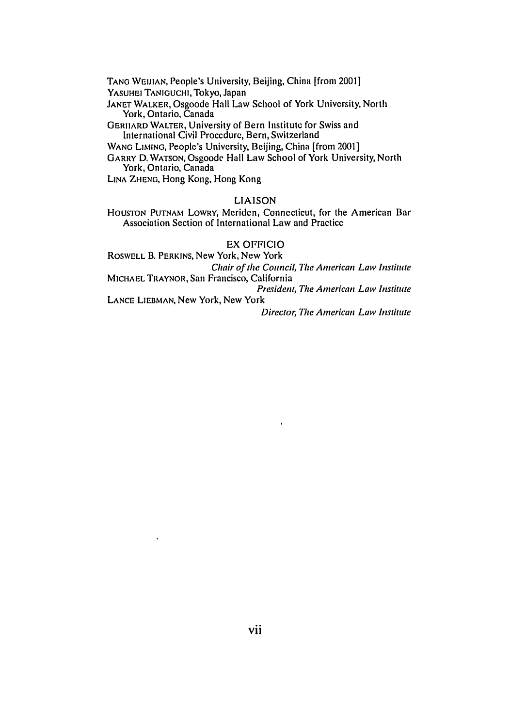TANG WEIJIAN, People's University, Beijing, China [from 2001] YASUHEI TANIGUCHI, Tokyo, Japan

JANET WALKER, Osgoode Hall Law School of York University, North York, Ontario, Canada

GERIIARD WALTER, University of Bern Institute for Swiss and International Civil Procedure, Bern, Switzerland

WANG LIMING, People's University, Beijing, China [from 2001]

GARRY D. WATSON, Osgoode Hall Law School of York University, North York, Ontario, Canada

LINA ZHENG, Hong Kong, Hong Kong

# LIAISON

HOUSTON PUTNAM LOWRY, Meriden, Connecticut, for the American Bar Association Section of International Law and Practice

# EX OFFICIO

ROSWELL B. PERKINS, New York, New York Chair of *the* Council, *The* American Law Institute

MICHAEL TRAYNOR, San Francisco, California **President, The American Law Institute** 

 $\bullet$ 

LANCE LIEBMAN, New York, New York

*Director, The* American Law *Institute*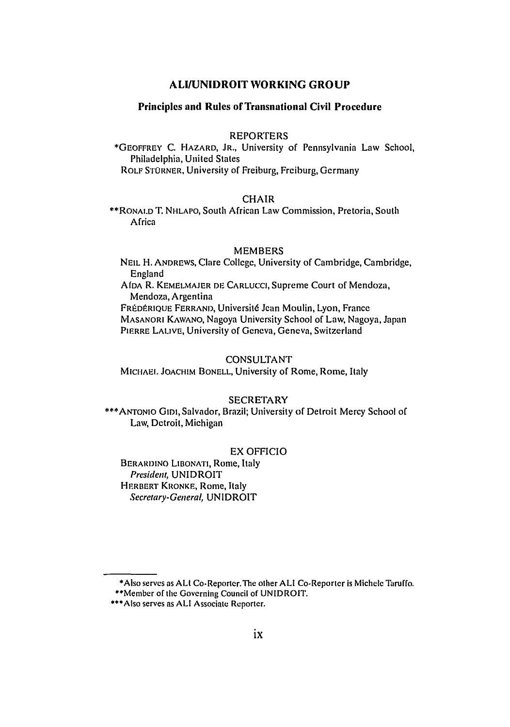# **ALIIUNIDROIT WORKING GROUP**

# **Principles and Rules of Transnational Civil Procedure**

# **REPORTERS**

\*GEOFFREY C. HAZARD, JR., University of Pennsylvania Law School, Philadelphia, United States ROLF STORNER, University of Freiburg, Freiburg, Germany

# **CHAIR**

\*\*RONALD T. NHLAPO, South African Law Commission, Pretoria, South **Africa** 

#### MEMBERS

NEIL H. ANDREWS, Clare College, University of Cambridge, Cambridge, England

**AIDA** R. KEMELMAJER DE CARLUCCI, Supreme Court of Mendoza, Mendoza, Argentina

FRÉDÉRIQUE FERRAND, Université Jean Moulin, Lyon, France MASANORi KAWANO, Nagoya University School of Law, Nagoya, Japan PIERRE LALIVE, University of Geneva, Geneva, Switzerland

# **CONSULTANT**

**MICHAEL** JOACHIM BONELL, University of Rome, Rome, Italy

# SECRETARY

**\*\*\*ANTONIO** GIDI, Salvador, Brazil; University of Detroit Mercy School of Law, Detroit, Michigan

#### EX OFFICIO

BERARDINO LIBONATI, Rome, Italy President, UNIDROIT HERBERT KRONKE, Rome, Italy Secretary-General, UNIDROIT

<sup>\*</sup>Also serves as ALl Co-Reporter.The other ALl Co-Reporter is Michele Taruffo.

<sup>\*\*</sup>Menber of the Governing Council of UNIDROIT.

<sup>\*\*\*</sup>Also serves as ALl Associate Reporter.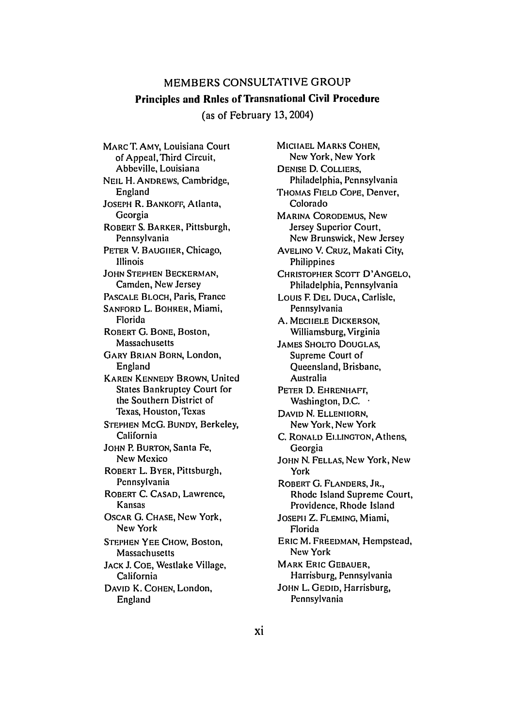# MEMBERS CONSULTATIVE GROUP Principles and Rules of Transnational Civil Procedure

(as of February 13,2004)

MARC T. AMY, Louisiana Court of Appeal,Third Circuit, Abbeville, Louisiana NEIL H. ANDREWS, Cambridge, England JOSEPH R. BANKOFF, Atlanta, Georgia ROBERT S. BARKER, Pittsburgh, Pennsylvania PETER V. BAUGIIER, Chicago, Illinois JOHN STEPHEN BECKERMAN, Camden, New Jersey PASCALE BLOCH, Paris, France SANFORD L. BOHRER, Miami, Florida ROBERT G. BONE, Boston, Massachusetts GARY BRIAN BORN, London, England KAREN KENNEDY BROWN, United States Bankruptcy Court for the Southern District of Texas, Houston, Texas STEPHEN McG. BUNDY, Berkeley, California JOHN P. BURTON, Santa Fe, New Mexico ROBERT L. BYER, Pittsburgh, Pennsylvania ROBERT **C. CASAD,** Lawrence, Kansas OSCAR G. CHASE, New York, New York STEPHEN YEE CHow, Boston, Massachusetts **JACK** J. COE, Westlake Village, California DAVID K. COHEN, London, England

**MICHAEL** MARKS COHEN, New York, New York DENISE **D.** COLLIERS, Philadelphia, Pennsylvania THOMAS FIELD **COPE,** Denver, Colorado MARINA CORODEMUS, New Jersey Superior Court, New Brunswick, New Jersey AVELINO V. CRUZ, Makati City, Philippines CHRISTOPHER SCOTT D'ANGELO. Philadelphia, Pennsylvania Louis F. DEL DUCA, Carlisle, Pennsylvania A. MECHELE DICKERSON, Williamsburg, Virginia JAMES SHOLTO DOUGLAS, Supreme Court of Queensland, Brisbane, Australia PETER D. EHRENHAFr, Washington, D.C. • DAVID N. ELLENHORN, New York, New York C. RONALD EI.LINGTON, Athens, Georgia JOHN N. FELLAS, New York, New York ROBERT G. FLANDERS, JR., Rhode Island Supreme Court, Providence, Rhode Island JOSEPH Z. FLEMING, Miami, Florida ERIC M. FREEDMAN, Hempstead, New York MARK ERIC GEBAUER, Harrisburg, Pennsylvania JOHN L. GEDID, Harrisburg, Pennsylvania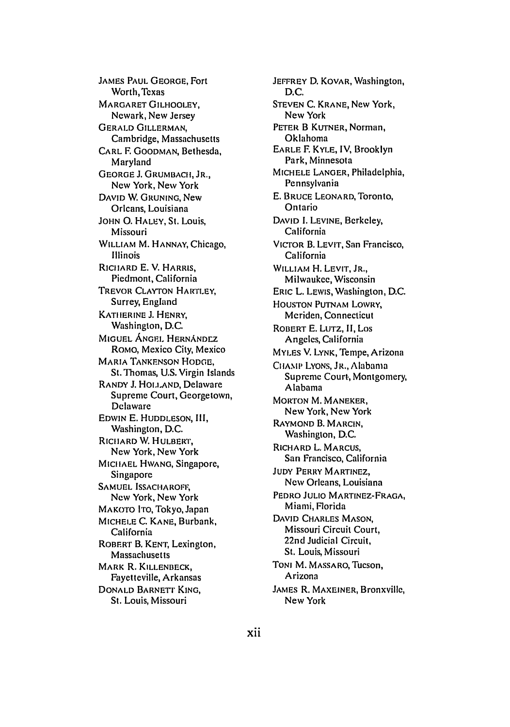JAMES PAUL GEORGE, Fort Worth,Texas MARGARET GILHOOLEY, Newark, New Jersey GERALD GILLERMAN, Cambridge, Massachusetts CARL F. GOODMAN, Bethesda, Maryland GEORGE **J.** GRUMBACII, JR., New York, New York DAVID W. GRUNING, New Orleans, Louisiana JOHN **0.** HALEY, St. Louis, Missouri WILLIAM M. HANNAY, Chicago, Illinois R1CIARD E. V. HARRIS, Piedmont, California TREVOR CLAYTON HARILEY, Surrey, England KATiIERINE **J.** HENRY, Washington, D.C. MIGUEL ANGEL HERNANDEZ ROMO, Mexico City, Mexico MARIA TANKENSON HODGE, St.Thomas, U.S. Virgin Islands RANDY J. HOLLAND, Delaware Supreme Court, Georgetown, Delaware EDWIN E. HUDDLESON, **11I,** Washington, D.C. RICIIARD W. HULBERT', New York, New York MICIIAEL HWANG, Singapore, Singapore SAMUEL ISSACHAROFF; New York, New York MAKOTO ITO, Tokyo, Japan MICHELE C. KANE, Burbank, California ROBERT B. KENT, Lexington, Massachusetts MARK R. KILLENBECK, Fayetteville, Arkansas DONALD BARNETI KING, St. Louis, Missouri

JEFFREY D. KOVAR, Washington, D.C. STEVEN C. KRANE, New York, New York PETER B KUTNER, Norman, Oklahoma EARLE F. KYLE, IV, Brooklyn Park, Minnesota MICHELE LANGER, Philadelphia, Pennsylvania E. BRUCE LEONARD, Toronto, Ontario DAVID I. LEVINE, Berkeley, California VICTOR B. LEVIT, San Francisco, California WILLIAM H. LEVIT, JR., Milwaukee, Wisconsin ERIC L. LEWIS, Washington, D.C. HOUSTON PUTNAM LOWRY, Meriden, Connecticut ROBERT E. LUTZ, II, Los Angeles, California MYLES V. LYNK, Tempe, Arizona CHAMP LYONS, JR., Alabama Supreme Court, Montgomery, Alabama MORTON M. MANEKER, New York, New York RAYMOND B. MARCIN, Washington, **D.C.** RICHARD L. MARCUS, San Francisco, California JUDY PERRY MARTINEZ, New Orleans, Louisiana PEDRO JULIO MARTINEZ-FRAGA, Miami, Florida DAVID CHARLES MASON, Missouri Circuit Court, 22nd Judicial Circuit, St. Louis, Missouri TONI M. MASSARO, Tucson, Arizona JAMES R. MAXEINER, Bronxville, New York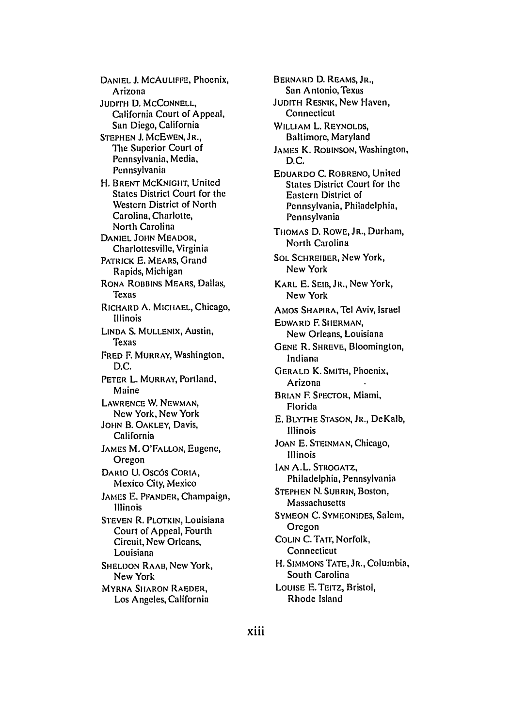DANIEL J. MCAULIFFE, Phoenix, Arizona JUDITH **D.** MCCONNELL, California Court of Appeal, San Diego, California STEPHEN **J.** McEWEN, **JR.,** The Superior Court of Pennsylvania, Media, Pennsylvania H. BRENT McKNIGHT, United States District Court for the Western District of North Carolina, Charlotte, North Carolina DANIEL **JOHN** MEADOR, Charlottesville, Virginia PATRICK E. MEARS, Grand Rapids, Michigan RONA ROBBINS MEARS, Dallas, Texas RICHARD **A.** MICIIAEL, Chicago, Illinois LINDA S. MULLENIX, Austin, Texas FRED F. MURRAY, Washington, D.C. PETER L. MURRAY, Portland, Maine LAWRENCE W. NEWMAN, New York, New York JOHN B. OAKLEY, Davis, California JAMES M. O'FALLON, Eugene, Oregon DARIO U. OSCÓS CORIA, Mexico City, Mexico JAMES E. PFANDER, Champaign, Illinois STEVEN R. PLOTKIN, Louisiana Court of Appeal, Fourth Circuit, New Orleans, Louisiana SHELDON RAAB, New York, New York MYRNA SHARON RAEDER, Los Angeles, California

BERNARD **D.** REAMS,JR., San Antonio, Texas JUDITH RESNIK, New Haven, Connecticut WILLIAM L. REYNOLDS, Baltimore, Maryland JAMES K. ROBINSON, Washington, D.C. EDUARDO **C.** ROBRENO, United States District Court for the Eastern District of Pennsylvania, Philadelphia, Pennsylvania THOMAS D. ROWE, JR., Durham, North Carolina SOL SCHREIBER, New York, New York KARL E. SEID, JR., New York, New York AMOS SHAPIRA, Tel Aviv, Israel EDWARD F. SIIERMAN, New Orleans, Louisiana GENE R. SHREVE, Bloomington, Indiana GERALD K. SMITH, Phoenix, Arizona BRIAN F. SPECTOR, Miami, Florida E. BLYTHE STASON, JR., DeKalb, Illinois **JOAN** E. STEINMAN, Chicago, Illinois IAN A.L. STROGATZ, Philadelphia, Pennsylvania STEPHEN N. SUBRIN, Boston, Massachusetts SYMEON C. SYMEONIDES, Salem, Oregon COLIN C. TAIT, Norfolk, Connecticut H. SIMMONS **TATE,** JR., Columbia, South Carolina LOUISE E. TEITZ, Bristol, Rhode Island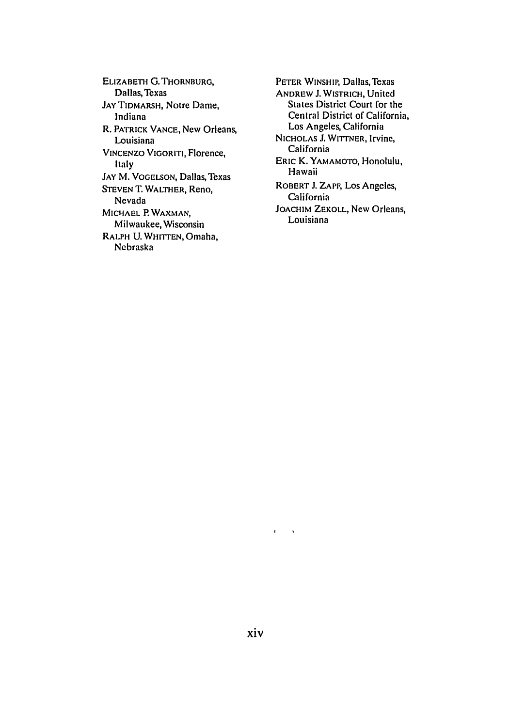ELIZABETH **G.** THORNBURG, Dallas, Texas **JAY** TIDMARSH, Notre Dame, Indiana R. PATRICK **VANCE,** New Orleans, Louisiana VINCENZO VIGORITI, Florence, Italy JAY M. VOGELSON, Dallas, Texas STEVEN T. WALTHER, Reno, Nevada MICHAEL P. WAXMAN, Milwaukee, Wisconsin **RALPH** U. WHITrEN, Omaha, Nebraska

PETER WINSHIP, Dallas, Texas ANDREW **J.** WISTRICH, United States District Court for the Central District of California, Los Angeles, California NICHOLAS J. WITTNER, Irvinc, California ERIC K. YAMAMOTO, Honolulu, Hawaii ROBERT **J.** ZAPF, Los Angeles, California JOACHIM ZEKOLL, New Orleans, Louisiana

 $\mathbf{r} = -\mathbf{v}$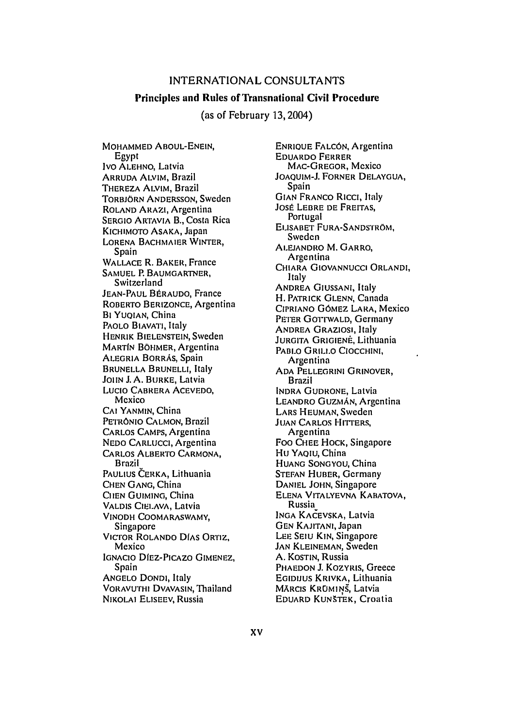# **INTERNATIONAL CONSULTANTS**

### Principles and Rules of Transnational Civil Procedure

(as of February 13,2004)

MOHAMMED ABOUL-ENEIN, **Egypt** Ivo ALEHNO, Latvia ARRUDA ALVIM, Brazil THEREZA **ALVIM,** Brazil TORBJORN **ANDERSSON,** Sweden ROLAND ARAZI, Argentina SERGIO ARTAVIA B., Costa Rica KICHIMOTO ASAKA, Japan LORENA BACHMAIER WINTER, Spain WALLACE R. BAKER, France SAMUEL P. BAUMGARTNER, Switzerland JEAN-PAUL BÉRAUDO, France ROBERTO BERIZONCE, Argentina BI YUQIAN, China PAOLO BIAVATI, Italy HENRIK BIELENSTEIN, Sweden MARTIN BÖHMER, Argentina ALEGRIA BORRAS, Spain BRUNELLA BRUNELLI, Italy JOHN J. A. BURKE, Latvia Lucio CABRERA ACEVEDO, Mexico **CAI YANMIN,** China PETRONIO **CALMON,** Brazil CARLOS CAMPS, Argentina NEDO CARLUCCI, Argentina CARLOS ALBERTO CARMONA, Brazil PAULIUS CERKA, Lithuania **CHEN GANG,** China **CIEN GUIMING,** China VALDIS CIEiLAVA, Latvia VINODH COOMARASWAMY, Singapore VICTOR ROLANDO DIAS ORTIZ, Mexico IGNACIO DIEZ-PICAzo GIMENEZ, Spain ANGELO DONDI, Italy VORAVuTHr DVAVASIN, Thailand NIKOLAI ELISEEV, Russia

ENRIOUE FALCON, Argentina EDUARDO FERRER MAC-GREGOR, Mexico JOAQUIM-J. FORNER DELAYGUA, Spain GIAN FRANCO Ricci, Italy Jost LEBRE DE FREITAS, Portugal ELISABET FURA-SANDSTROM, Sweden ALEJANDRO M. GARRO, Argentina CHIARA GIOVANNUCCI ORLANDI, Italy ANDREA GIUSSANI, Italy **H.** PATRICK **GLENN,** Canada CIPRIANO GOMEZ LARA, Mexico PETER GOYrWALD, Germany ANDREA GRAZIOSI, Italy **JURGITA GRIGIENĖ, Lithuania** PABLO GRILI.O CIOCCHINI, Argentina ADA PELLEGRINI GRINOVER, Brazil INDRA GUDRONE, Latvia LEANDRO GUZMAN, Argentina LARS HEUMAN, Sweden JUAN CARLOS HITERS, Argentina Foo **CHEE** HOCK, Singapore **Hu** YAOIU, China **HUANG SONGYOU,** China STErAN HUBER, Germany **DANIEL JOHN,** Singapore ELENA VITALYEVNA KABATOVA, Russia **INGA** KACEVSKA, Latvia GEN KAJITANI, Japan LEE SEIu KIN, Singapore JAN KLEINEMAN, Sweden A. KOSTIN, Russia PHAEDON J. KOZYRIS, Greece EGIDIJUS KRIVKA, Lithuania MĀRCIS KRŪMIŅŠ, Latvia EDUARD KUNŠTEK, Croatia